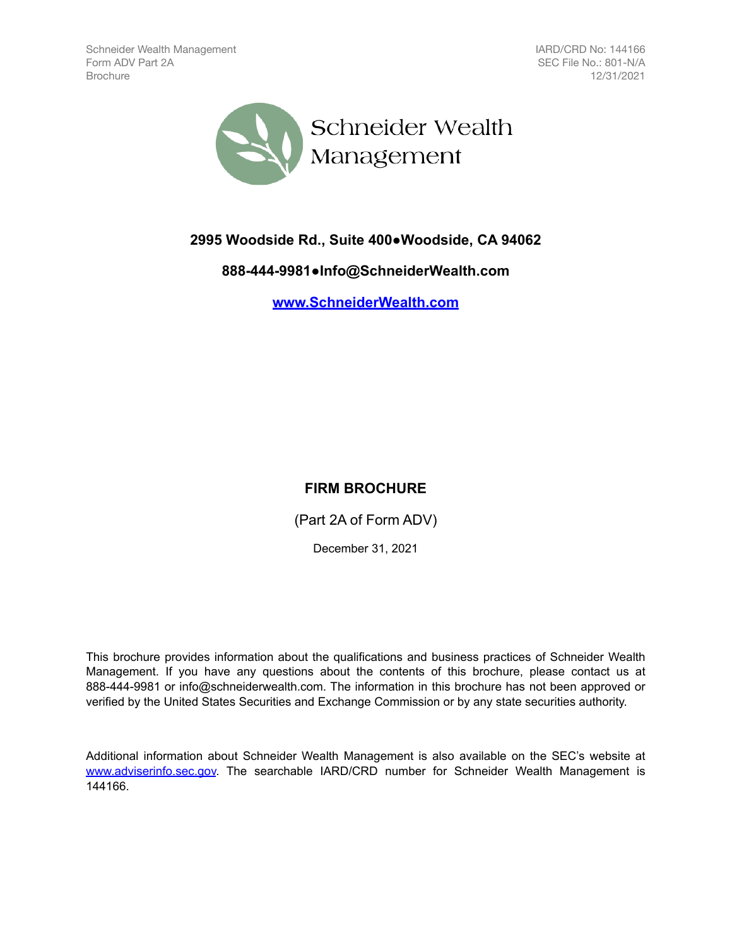IARD/CRD No: 144166 SEC File No.: 801-N/A 12/31/2021



**2995 Woodside Rd., Suite 400●Woodside, CA 94062**

**888-444-9981●Info@SchneiderWealth.com**

**[www.SchneiderWealth.com](http://www.SchneiderWealth.com)**

# **FIRM BROCHURE**

(Part 2A of Form ADV)

December 31, 2021

This brochure provides information about the qualifications and business practices of Schneider Wealth Management. If you have any questions about the contents of this brochure, please contact us at 888-444-9981 or info@schneiderwealth.com. The information in this brochure has not been approved or verified by the United States Securities and Exchange Commission or by any state securities authority.

Additional information about Schneider Wealth Management is also available on the SEC's website at [www.adviserinfo.sec.gov.](http://www.adviserinfo.sec.gov) The searchable IARD/CRD number for Schneider Wealth Management is 144166.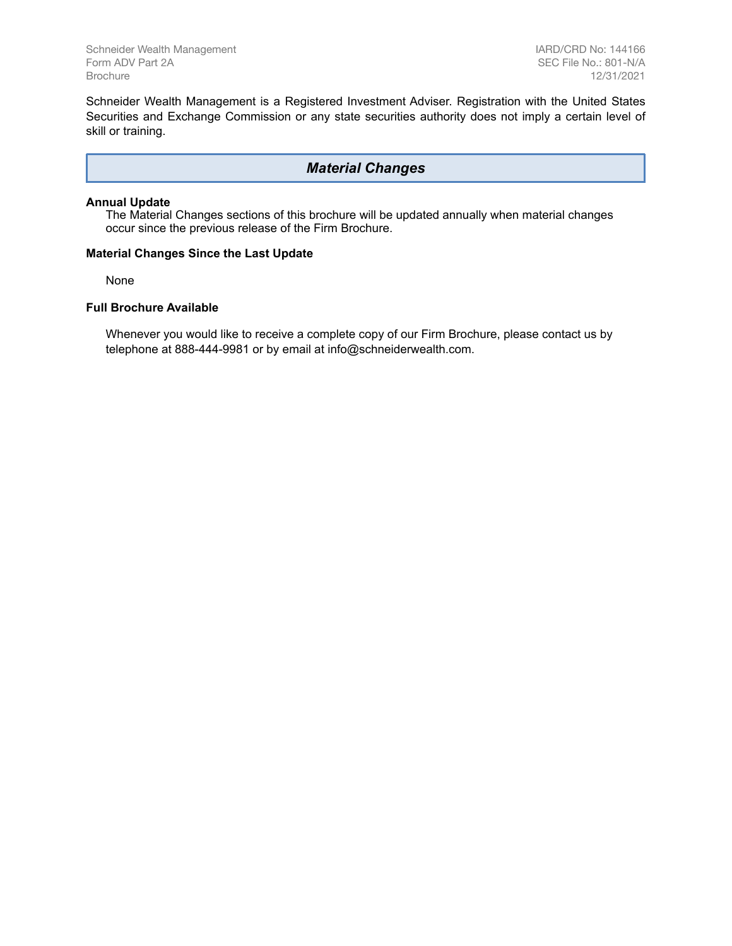Schneider Wealth Management is a Registered Investment Adviser. Registration with the United States Securities and Exchange Commission or any state securities authority does not imply a certain level of skill or training.

### *Material Changes*

#### **Annual Update**

The Material Changes sections of this brochure will be updated annually when material changes occur since the previous release of the Firm Brochure.

#### **Material Changes Since the Last Update**

None

#### **Full Brochure Available**

Whenever you would like to receive a complete copy of our Firm Brochure, please contact us by telephone at 888-444-9981 or by email at info@schneiderwealth.com.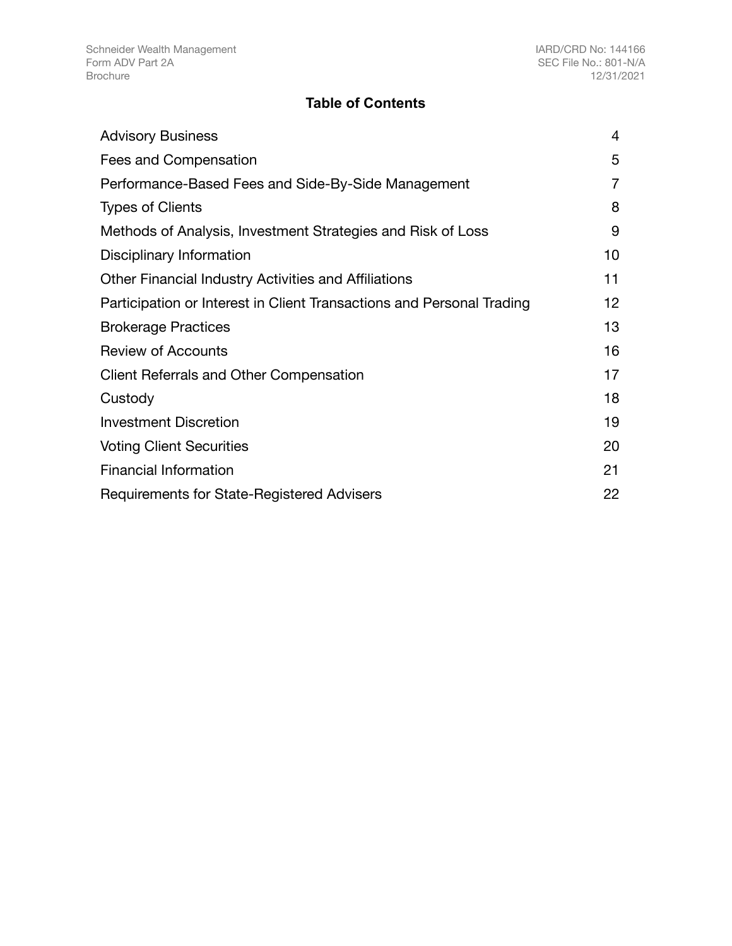# **Table of Contents**

| <b>Advisory Business</b>                                              | 4  |
|-----------------------------------------------------------------------|----|
| Fees and Compensation                                                 | 5  |
| Performance-Based Fees and Side-By-Side Management                    | 7  |
| <b>Types of Clients</b>                                               | 8  |
| Methods of Analysis, Investment Strategies and Risk of Loss           | 9  |
| Disciplinary Information                                              | 10 |
| Other Financial Industry Activities and Affiliations                  | 11 |
| Participation or Interest in Client Transactions and Personal Trading | 12 |
| <b>Brokerage Practices</b>                                            | 13 |
| <b>Review of Accounts</b>                                             | 16 |
| <b>Client Referrals and Other Compensation</b>                        | 17 |
| Custody                                                               | 18 |
| <b>Investment Discretion</b>                                          | 19 |
| <b>Voting Client Securities</b>                                       | 20 |
| <b>Financial Information</b>                                          | 21 |
| Requirements for State-Registered Advisers                            | 22 |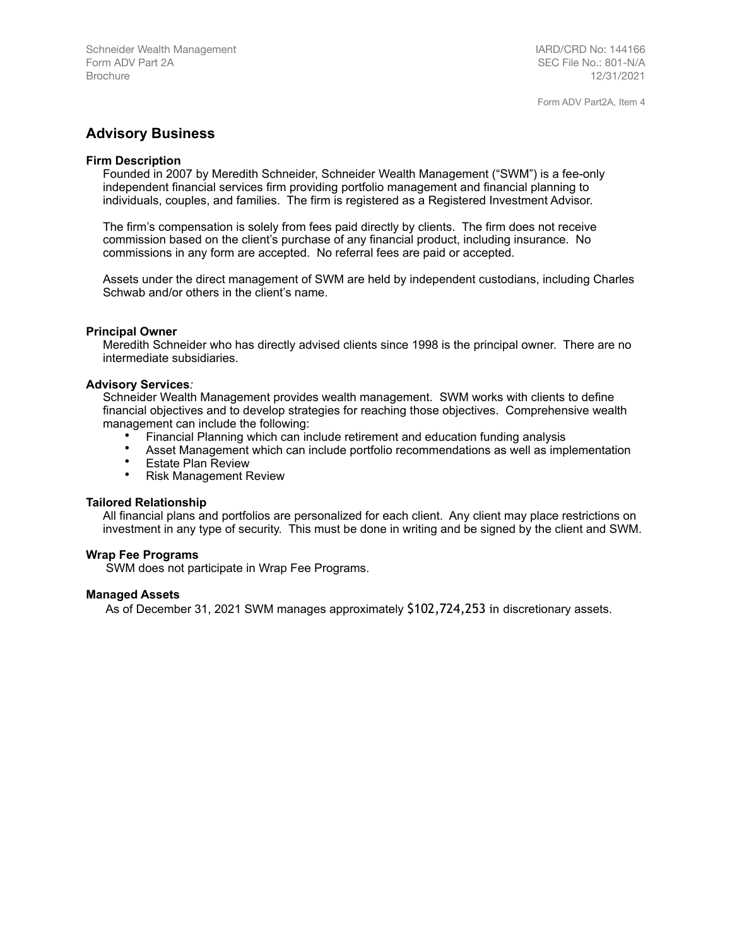IARD/CRD No: 144166 SEC File No.: 801-N/A 12/31/2021

Form ADV Part2A, Item 4

## <span id="page-3-0"></span>**Advisory Business**

#### **Firm Description**

Founded in 2007 by Meredith Schneider, Schneider Wealth Management ("SWM") is a fee-only independent financial services firm providing portfolio management and financial planning to individuals, couples, and families. The firm is registered as a Registered Investment Advisor.

The firm's compensation is solely from fees paid directly by clients. The firm does not receive commission based on the client's purchase of any financial product, including insurance. No commissions in any form are accepted. No referral fees are paid or accepted.

Assets under the direct management of SWM are held by independent custodians, including Charles Schwab and/or others in the client's name.

#### **Principal Owner**

Meredith Schneider who has directly advised clients since 1998 is the principal owner. There are no intermediate subsidiaries.

#### **Advisory Services***:*

Schneider Wealth Management provides wealth management. SWM works with clients to define financial objectives and to develop strategies for reaching those objectives. Comprehensive wealth management can include the following:

- Financial Planning which can include retirement and education funding analysis
- Asset Management which can include portfolio recommendations as well as implementation<br>• Estate Plan Beview
- Estate Plan Review<br>• Pick Management E
- Risk Management Review

#### **Tailored Relationship**

All financial plans and portfolios are personalized for each client. Any client may place restrictions on investment in any type of security. This must be done in writing and be signed by the client and SWM.

#### **Wrap Fee Programs**

SWM does not participate in Wrap Fee Programs.

#### **Managed Assets**

As of December 31, 2021 SWM manages approximately \$102,724,253 in discretionary assets.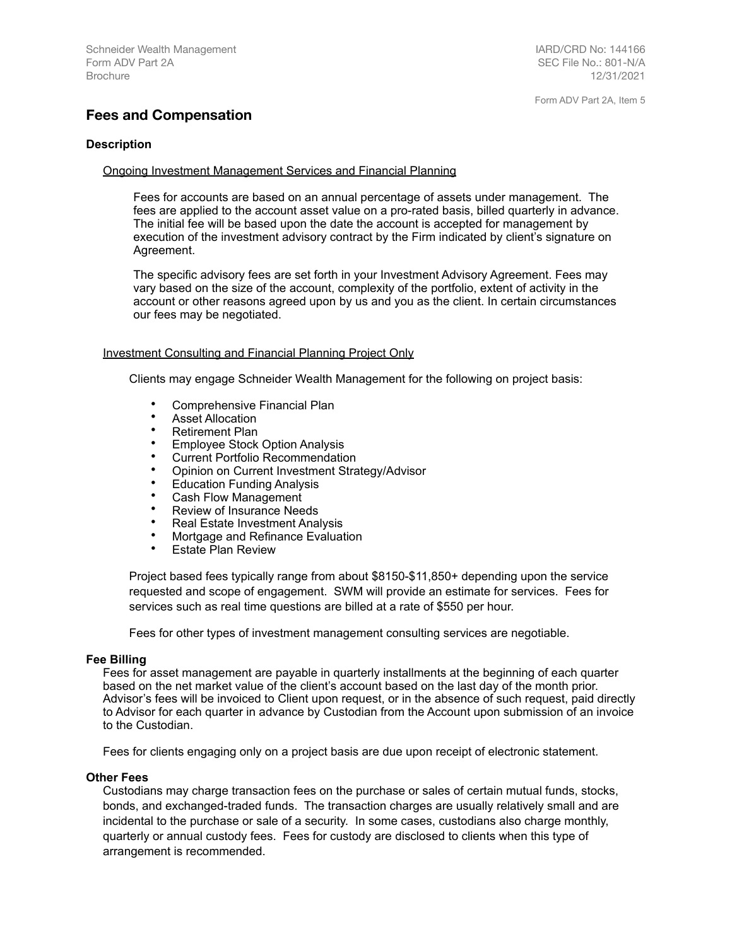## <span id="page-4-0"></span>**Fees and Compensation**

#### **Description**

#### Ongoing Investment Management Services and Financial Planning

Fees for accounts are based on an annual percentage of assets under management. The fees are applied to the account asset value on a pro-rated basis, billed quarterly in advance. The initial fee will be based upon the date the account is accepted for management by execution of the investment advisory contract by the Firm indicated by client's signature on Agreement.

The specific advisory fees are set forth in your Investment Advisory Agreement. Fees may vary based on the size of the account, complexity of the portfolio, extent of activity in the account or other reasons agreed upon by us and you as the client. In certain circumstances our fees may be negotiated.

#### Investment Consulting and Financial Planning Project Only

Clients may engage Schneider Wealth Management for the following on project basis:

- Comprehensive Financial Plan
- Asset Allocation<br>• Retirement Plan
- Retirement Plan<br>• Employee Stock
- **Employee Stock Option Analysis**
- Current Portfolio Recommendation
- Opinion on Current Investment Strategy/Advisor
- Education Funding Analysis
- Cash Flow Management<br>• Poview of Insurance Neo
- Review of Insurance Needs
- Real Estate Investment Analysis
- Mortgage and Refinance Evaluation
- **Estate Plan Review**

Project based fees typically range from about \$8150-\$11,850+ depending upon the service requested and scope of engagement. SWM will provide an estimate for services. Fees for services such as real time questions are billed at a rate of \$550 per hour.

Fees for other types of investment management consulting services are negotiable.

#### **Fee Billing**

Fees for asset management are payable in quarterly installments at the beginning of each quarter based on the net market value of the client's account based on the last day of the month prior. Advisor's fees will be invoiced to Client upon request, or in the absence of such request, paid directly to Advisor for each quarter in advance by Custodian from the Account upon submission of an invoice to the Custodian.

Fees for clients engaging only on a project basis are due upon receipt of electronic statement.

#### **Other Fees**

Custodians may charge transaction fees on the purchase or sales of certain mutual funds, stocks, bonds, and exchanged-traded funds. The transaction charges are usually relatively small and are incidental to the purchase or sale of a security. In some cases, custodians also charge monthly, quarterly or annual custody fees. Fees for custody are disclosed to clients when this type of arrangement is recommended.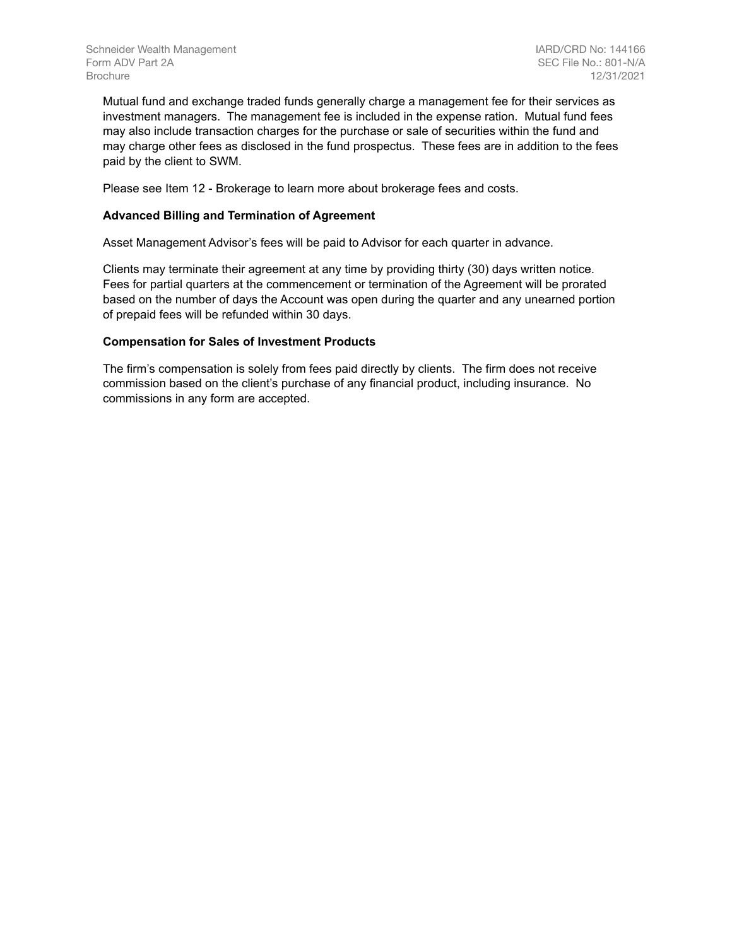Mutual fund and exchange traded funds generally charge a management fee for their services as investment managers. The management fee is included in the expense ration. Mutual fund fees may also include transaction charges for the purchase or sale of securities within the fund and may charge other fees as disclosed in the fund prospectus. These fees are in addition to the fees paid by the client to SWM.

Please see Item 12 - Brokerage to learn more about brokerage fees and costs.

#### **Advanced Billing and Termination of Agreement**

Asset Management Advisor's fees will be paid to Advisor for each quarter in advance.

Clients may terminate their agreement at any time by providing thirty (30) days written notice. Fees for partial quarters at the commencement or termination of the Agreement will be prorated based on the number of days the Account was open during the quarter and any unearned portion of prepaid fees will be refunded within 30 days.

#### **Compensation for Sales of Investment Products**

The firm's compensation is solely from fees paid directly by clients. The firm does not receive commission based on the client's purchase of any financial product, including insurance. No commissions in any form are accepted.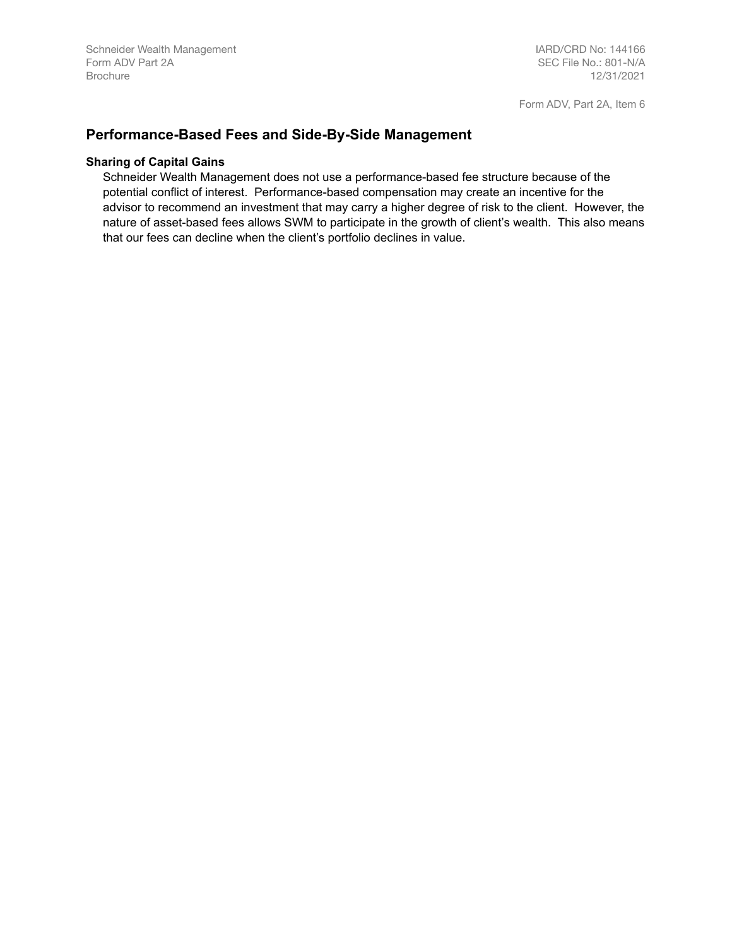## <span id="page-6-0"></span>**Performance-Based Fees and Side-By-Side Management**

#### **Sharing of Capital Gains**

Schneider Wealth Management does not use a performance-based fee structure because of the potential conflict of interest. Performance-based compensation may create an incentive for the advisor to recommend an investment that may carry a higher degree of risk to the client. However, the nature of asset-based fees allows SWM to participate in the growth of client's wealth. This also means that our fees can decline when the client's portfolio declines in value.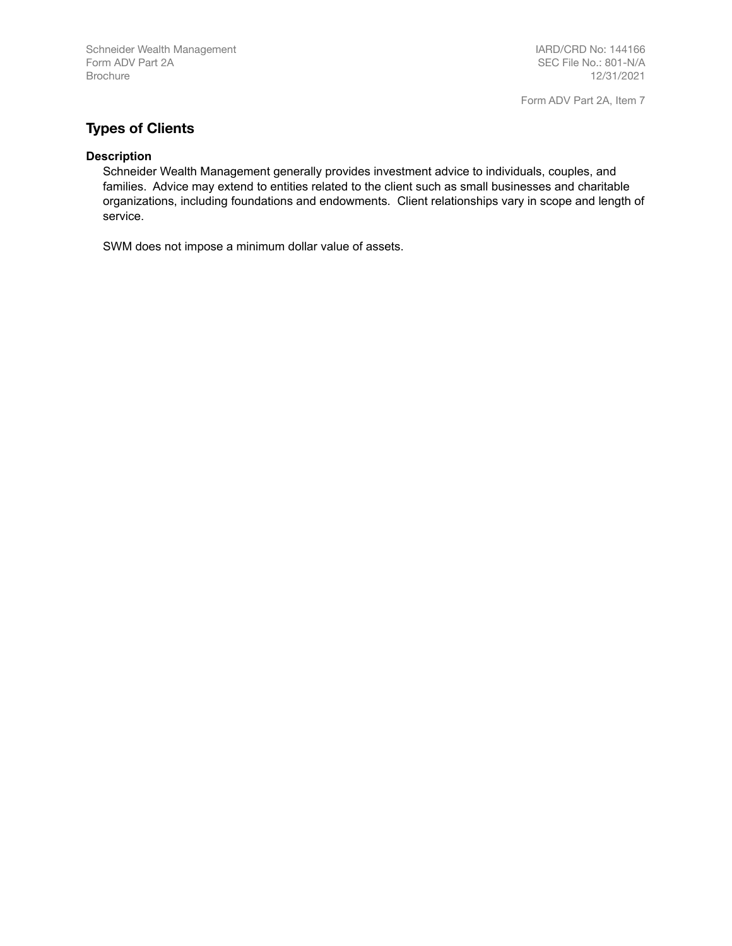IARD/CRD No: 144166 SEC File No.: 801-N/A 12/31/2021

Form ADV Part 2A, Item 7

# <span id="page-7-0"></span>**Types of Clients**

#### **Description**

Schneider Wealth Management generally provides investment advice to individuals, couples, and families. Advice may extend to entities related to the client such as small businesses and charitable organizations, including foundations and endowments. Client relationships vary in scope and length of service.

SWM does not impose a minimum dollar value of assets.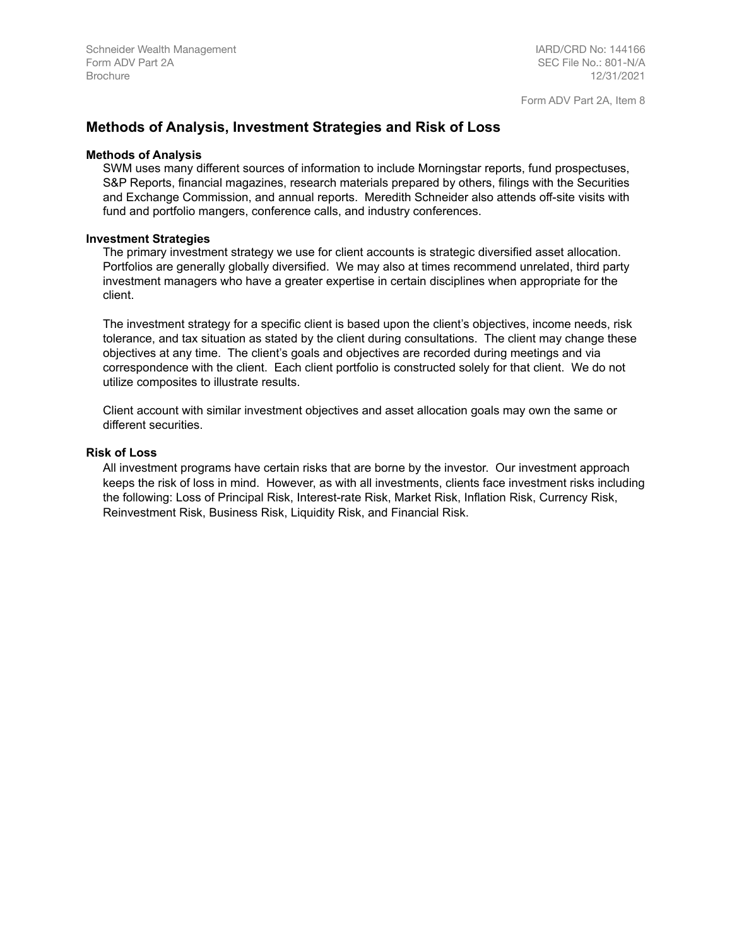## <span id="page-8-0"></span>**Methods of Analysis, Investment Strategies and Risk of Loss**

#### **Methods of Analysis**

SWM uses many different sources of information to include Morningstar reports, fund prospectuses, S&P Reports, financial magazines, research materials prepared by others, filings with the Securities and Exchange Commission, and annual reports. Meredith Schneider also attends off-site visits with fund and portfolio mangers, conference calls, and industry conferences.

#### **Investment Strategies**

The primary investment strategy we use for client accounts is strategic diversified asset allocation. Portfolios are generally globally diversified. We may also at times recommend unrelated, third party investment managers who have a greater expertise in certain disciplines when appropriate for the client.

The investment strategy for a specific client is based upon the client's objectives, income needs, risk tolerance, and tax situation as stated by the client during consultations. The client may change these objectives at any time. The client's goals and objectives are recorded during meetings and via correspondence with the client. Each client portfolio is constructed solely for that client. We do not utilize composites to illustrate results.

Client account with similar investment objectives and asset allocation goals may own the same or different securities.

#### **Risk of Loss**

All investment programs have certain risks that are borne by the investor. Our investment approach keeps the risk of loss in mind. However, as with all investments, clients face investment risks including the following: Loss of Principal Risk, Interest-rate Risk, Market Risk, Inflation Risk, Currency Risk, Reinvestment Risk, Business Risk, Liquidity Risk, and Financial Risk.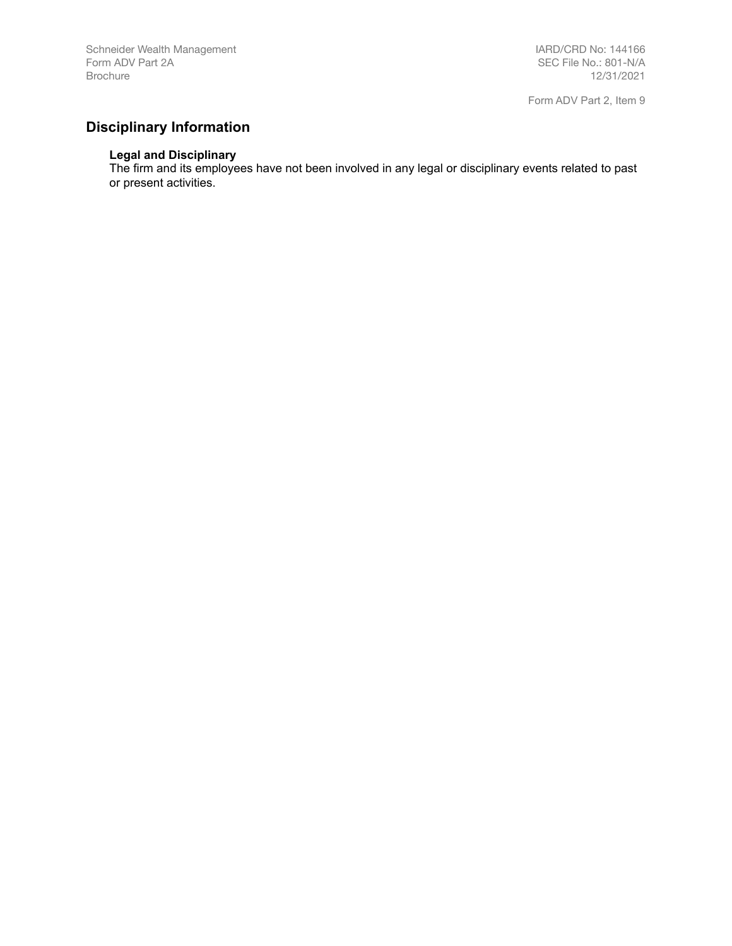# <span id="page-9-0"></span>**Disciplinary Information**

#### **Legal and Disciplinary**

The firm and its employees have not been involved in any legal or disciplinary events related to past or present activities.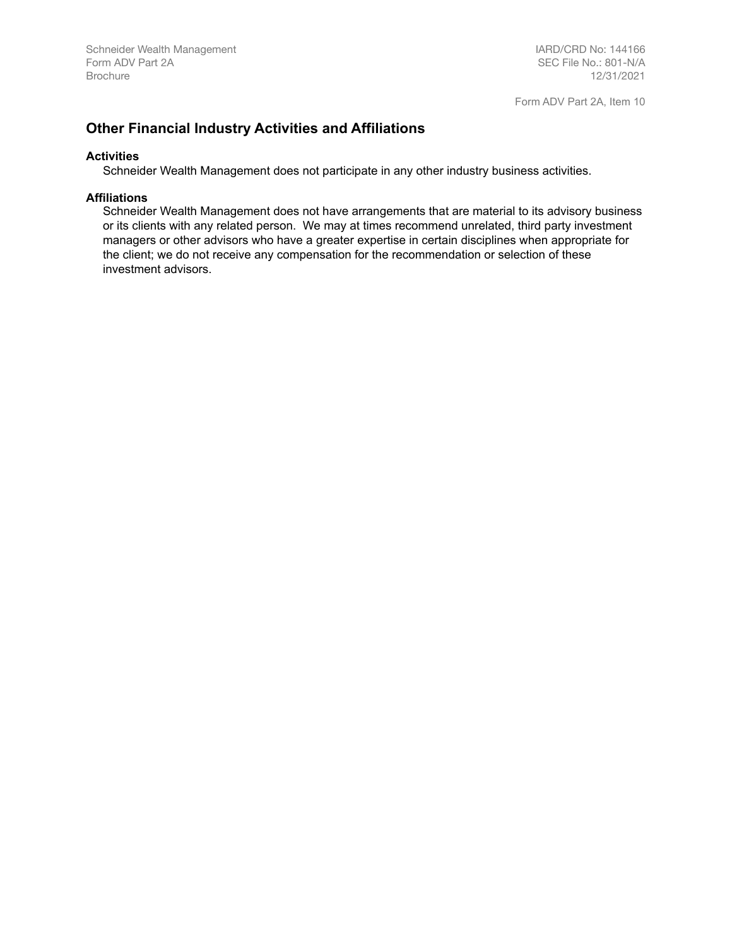## <span id="page-10-0"></span>**Other Financial Industry Activities and Affiliations**

#### **Activities**

Schneider Wealth Management does not participate in any other industry business activities.

#### **Affiliations**

Schneider Wealth Management does not have arrangements that are material to its advisory business or its clients with any related person. We may at times recommend unrelated, third party investment managers or other advisors who have a greater expertise in certain disciplines when appropriate for the client; we do not receive any compensation for the recommendation or selection of these investment advisors.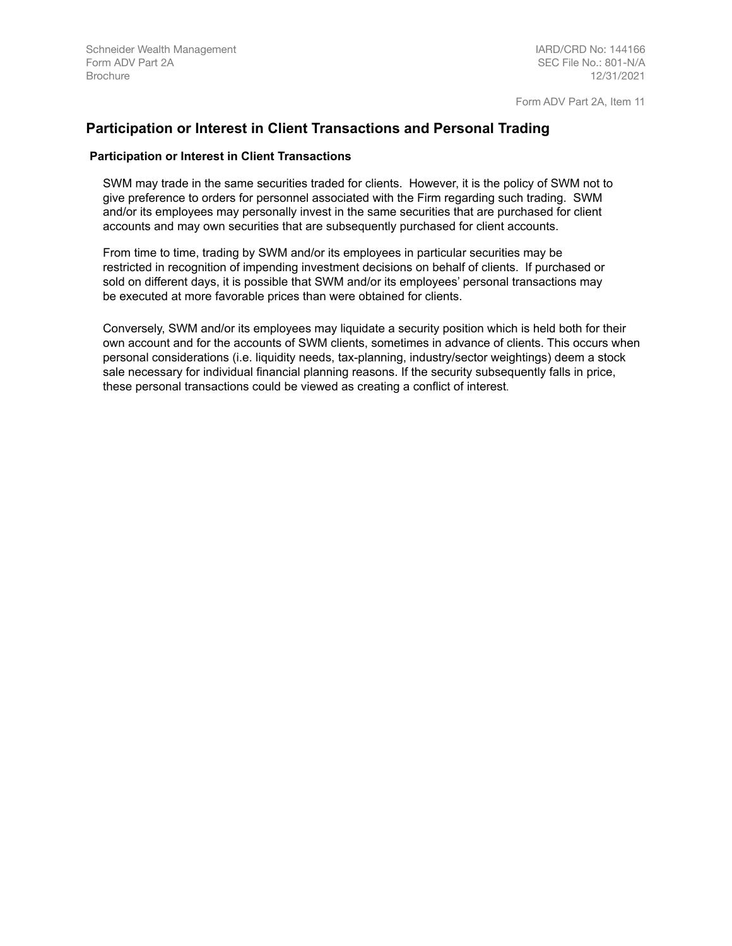Form ADV Part 2A, Item 11

## <span id="page-11-0"></span>**Participation or Interest in Client Transactions and Personal Trading**

#### **Participation or Interest in Client Transactions**

SWM may trade in the same securities traded for clients. However, it is the policy of SWM not to give preference to orders for personnel associated with the Firm regarding such trading. SWM and/or its employees may personally invest in the same securities that are purchased for client accounts and may own securities that are subsequently purchased for client accounts.

From time to time, trading by SWM and/or its employees in particular securities may be restricted in recognition of impending investment decisions on behalf of clients. If purchased or sold on different days, it is possible that SWM and/or its employees' personal transactions may be executed at more favorable prices than were obtained for clients.

Conversely, SWM and/or its employees may liquidate a security position which is held both for their own account and for the accounts of SWM clients, sometimes in advance of clients. This occurs when personal considerations (i.e. liquidity needs, tax-planning, industry/sector weightings) deem a stock sale necessary for individual financial planning reasons. If the security subsequently falls in price, these personal transactions could be viewed as creating a conflict of interest.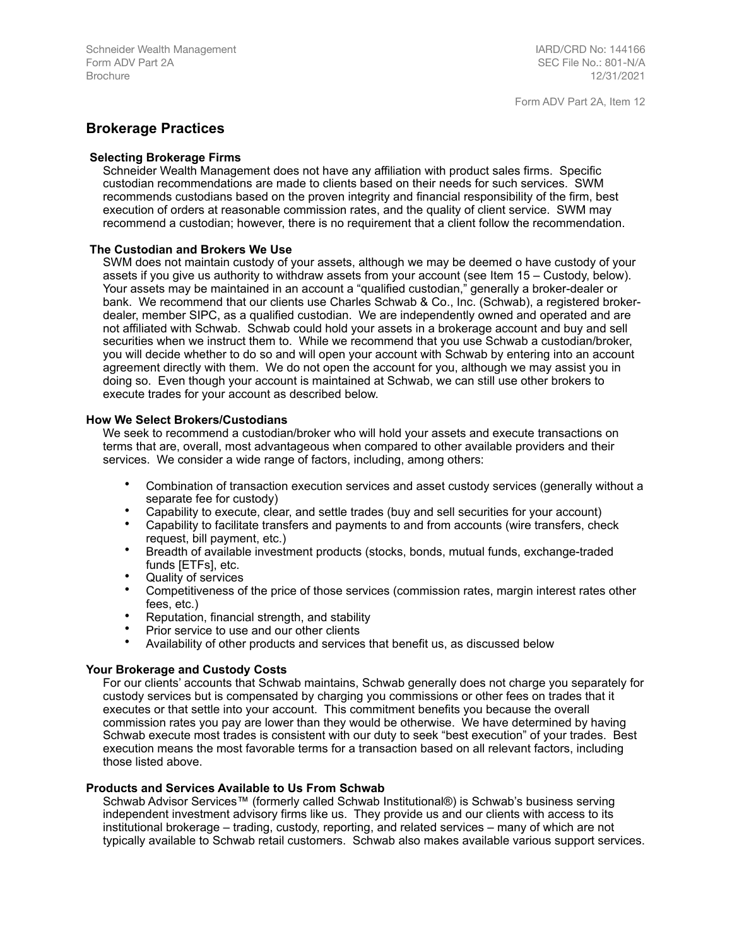## <span id="page-12-0"></span>**Brokerage Practices**

#### **Selecting Brokerage Firms**

Schneider Wealth Management does not have any affiliation with product sales firms. Specific custodian recommendations are made to clients based on their needs for such services. SWM recommends custodians based on the proven integrity and financial responsibility of the firm, best execution of orders at reasonable commission rates, and the quality of client service. SWM may recommend a custodian; however, there is no requirement that a client follow the recommendation.

#### **The Custodian and Brokers We Use**

SWM does not maintain custody of your assets, although we may be deemed o have custody of your assets if you give us authority to withdraw assets from your account (see Item 15 – Custody, below). Your assets may be maintained in an account a "qualified custodian," generally a broker-dealer or bank. We recommend that our clients use Charles Schwab & Co., Inc. (Schwab), a registered brokerdealer, member SIPC, as a qualified custodian. We are independently owned and operated and are not affiliated with Schwab. Schwab could hold your assets in a brokerage account and buy and sell securities when we instruct them to. While we recommend that you use Schwab a custodian/broker, you will decide whether to do so and will open your account with Schwab by entering into an account agreement directly with them. We do not open the account for you, although we may assist you in doing so. Even though your account is maintained at Schwab, we can still use other brokers to execute trades for your account as described below.

#### **How We Select Brokers/Custodians**

We seek to recommend a custodian/broker who will hold your assets and execute transactions on terms that are, overall, most advantageous when compared to other available providers and their services. We consider a wide range of factors, including, among others:

- Combination of transaction execution services and asset custody services (generally without a separate fee for custody)
- Capability to execute, clear, and settle trades (buy and sell securities for your account)
- Capability to facilitate transfers and payments to and from accounts (wire transfers, check request, bill payment, etc.)
- Breadth of available investment products (stocks, bonds, mutual funds, exchange-traded funds [ETFs], etc.
- Quality of services
- Competitiveness of the price of those services (commission rates, margin interest rates other fees, etc.)
- Reputation, financial strength, and stability
- Prior service to use and our other clients
- Availability of other products and services that benefit us, as discussed below

#### **Your Brokerage and Custody Costs**

For our clients' accounts that Schwab maintains, Schwab generally does not charge you separately for custody services but is compensated by charging you commissions or other fees on trades that it executes or that settle into your account. This commitment benefits you because the overall commission rates you pay are lower than they would be otherwise. We have determined by having Schwab execute most trades is consistent with our duty to seek "best execution" of your trades. Best execution means the most favorable terms for a transaction based on all relevant factors, including those listed above.

#### **Products and Services Available to Us From Schwab**

Schwab Advisor Services™ (formerly called Schwab Institutional®) is Schwab's business serving independent investment advisory firms like us. They provide us and our clients with access to its institutional brokerage – trading, custody, reporting, and related services – many of which are not typically available to Schwab retail customers. Schwab also makes available various support services.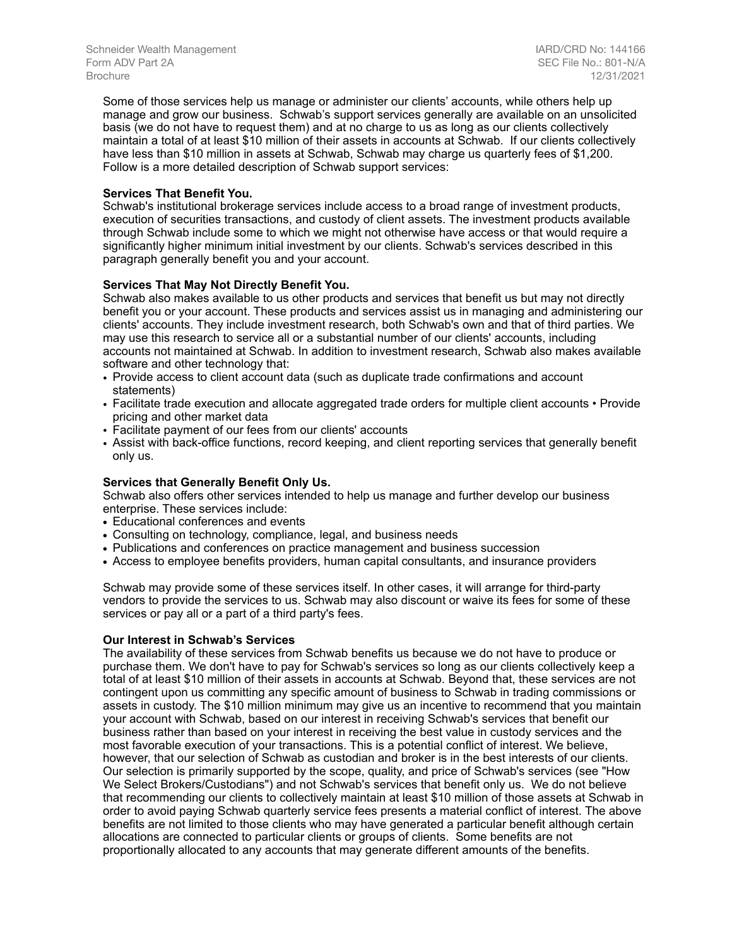IARD/CRD No: 144166 SEC File No.: 801-N/A 12/31/2021

Some of those services help us manage or administer our clients' accounts, while others help up manage and grow our business. Schwab's support services generally are available on an unsolicited basis (we do not have to request them) and at no charge to us as long as our clients collectively maintain a total of at least \$10 million of their assets in accounts at Schwab. If our clients collectively have less than \$10 million in assets at Schwab, Schwab may charge us quarterly fees of \$1,200. Follow is a more detailed description of Schwab support services:

#### **Services That Benefit You.**

Schwab's institutional brokerage services include access to a broad range of investment products, execution of securities transactions, and custody of client assets. The investment products available through Schwab include some to which we might not otherwise have access or that would require a significantly higher minimum initial investment by our clients. Schwab's services described in this paragraph generally benefit you and your account.

#### **Services That May Not Directly Benefit You.**

Schwab also makes available to us other products and services that benefit us but may not directly benefit you or your account. These products and services assist us in managing and administering our clients' accounts. They include investment research, both Schwab's own and that of third parties. We may use this research to service all or a substantial number of our clients' accounts, including accounts not maintained at Schwab. In addition to investment research, Schwab also makes available software and other technology that:

- Provide access to client account data (such as duplicate trade confirmations and account statements)
- Facilitate trade execution and allocate aggregated trade orders for multiple client accounts Provide pricing and other market data
- Facilitate payment of our fees from our clients' accounts
- Assist with back-office functions, record keeping, and client reporting services that generally benefit only us.

#### **Services that Generally Benefit Only Us.**

Schwab also offers other services intended to help us manage and further develop our business enterprise. These services include:

- **•** Educational conferences and events
- **•** Consulting on technology, compliance, legal, and business needs
- **•** Publications and conferences on practice management and business succession
- **•** Access to employee benefits providers, human capital consultants, and insurance providers

Schwab may provide some of these services itself. In other cases, it will arrange for third-party vendors to provide the services to us. Schwab may also discount or waive its fees for some of these services or pay all or a part of a third party's fees.

#### **Our Interest in Schwab's Services**

The availability of these services from Schwab benefits us because we do not have to produce or purchase them. We don't have to pay for Schwab's services so long as our clients collectively keep a total of at least \$10 million of their assets in accounts at Schwab. Beyond that, these services are not contingent upon us committing any specific amount of business to Schwab in trading commissions or assets in custody. The \$10 million minimum may give us an incentive to recommend that you maintain your account with Schwab, based on our interest in receiving Schwab's services that benefit our business rather than based on your interest in receiving the best value in custody services and the most favorable execution of your transactions. This is a potential conflict of interest. We believe, however, that our selection of Schwab as custodian and broker is in the best interests of our clients. Our selection is primarily supported by the scope, quality, and price of Schwab's services (see "How We Select Brokers/Custodians") and not Schwab's services that benefit only us. We do not believe that recommending our clients to collectively maintain at least \$10 million of those assets at Schwab in order to avoid paying Schwab quarterly service fees presents a material conflict of interest. The above benefits are not limited to those clients who may have generated a particular benefit although certain allocations are connected to particular clients or groups of clients. Some benefits are not proportionally allocated to any accounts that may generate different amounts of the benefits.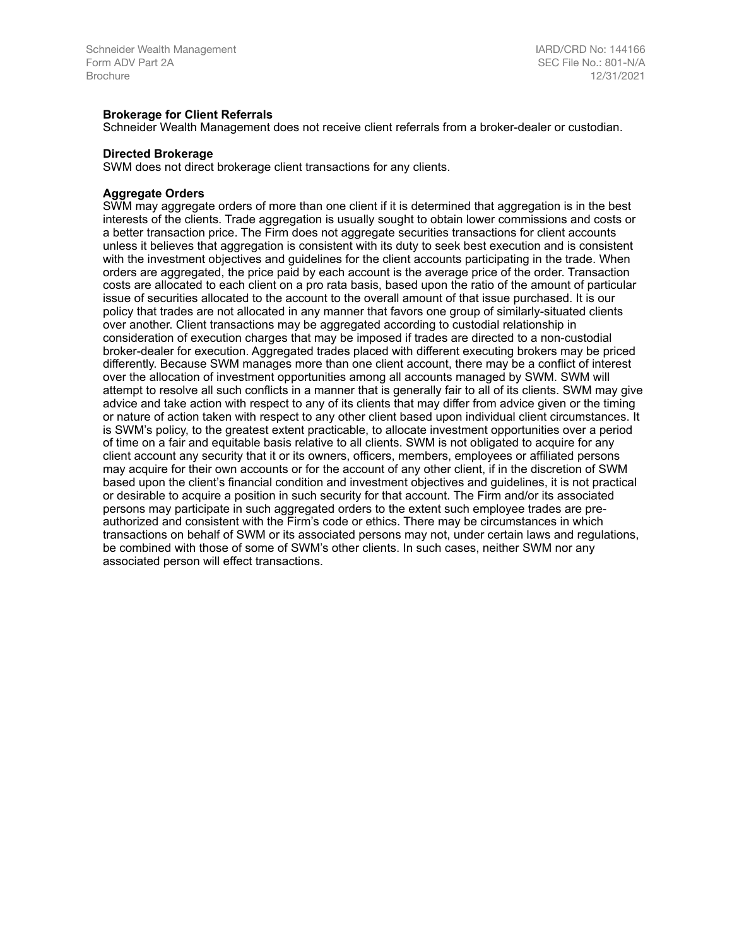#### **Brokerage for Client Referrals**

Schneider Wealth Management does not receive client referrals from a broker-dealer or custodian.

#### **Directed Brokerage**

SWM does not direct brokerage client transactions for any clients.

#### **Aggregate Orders**

SWM may aggregate orders of more than one client if it is determined that aggregation is in the best interests of the clients. Trade aggregation is usually sought to obtain lower commissions and costs or a better transaction price. The Firm does not aggregate securities transactions for client accounts unless it believes that aggregation is consistent with its duty to seek best execution and is consistent with the investment objectives and guidelines for the client accounts participating in the trade. When orders are aggregated, the price paid by each account is the average price of the order. Transaction costs are allocated to each client on a pro rata basis, based upon the ratio of the amount of particular issue of securities allocated to the account to the overall amount of that issue purchased. It is our policy that trades are not allocated in any manner that favors one group of similarly-situated clients over another. Client transactions may be aggregated according to custodial relationship in consideration of execution charges that may be imposed if trades are directed to a non-custodial broker-dealer for execution. Aggregated trades placed with different executing brokers may be priced differently. Because SWM manages more than one client account, there may be a conflict of interest over the allocation of investment opportunities among all accounts managed by SWM. SWM will attempt to resolve all such conflicts in a manner that is generally fair to all of its clients. SWM may give advice and take action with respect to any of its clients that may differ from advice given or the timing or nature of action taken with respect to any other client based upon individual client circumstances. It is SWM's policy, to the greatest extent practicable, to allocate investment opportunities over a period of time on a fair and equitable basis relative to all clients. SWM is not obligated to acquire for any client account any security that it or its owners, officers, members, employees or affiliated persons may acquire for their own accounts or for the account of any other client, if in the discretion of SWM based upon the client's financial condition and investment objectives and guidelines, it is not practical or desirable to acquire a position in such security for that account. The Firm and/or its associated persons may participate in such aggregated orders to the extent such employee trades are preauthorized and consistent with the Firm's code or ethics. There may be circumstances in which transactions on behalf of SWM or its associated persons may not, under certain laws and regulations, be combined with those of some of SWM's other clients. In such cases, neither SWM nor any associated person will effect transactions.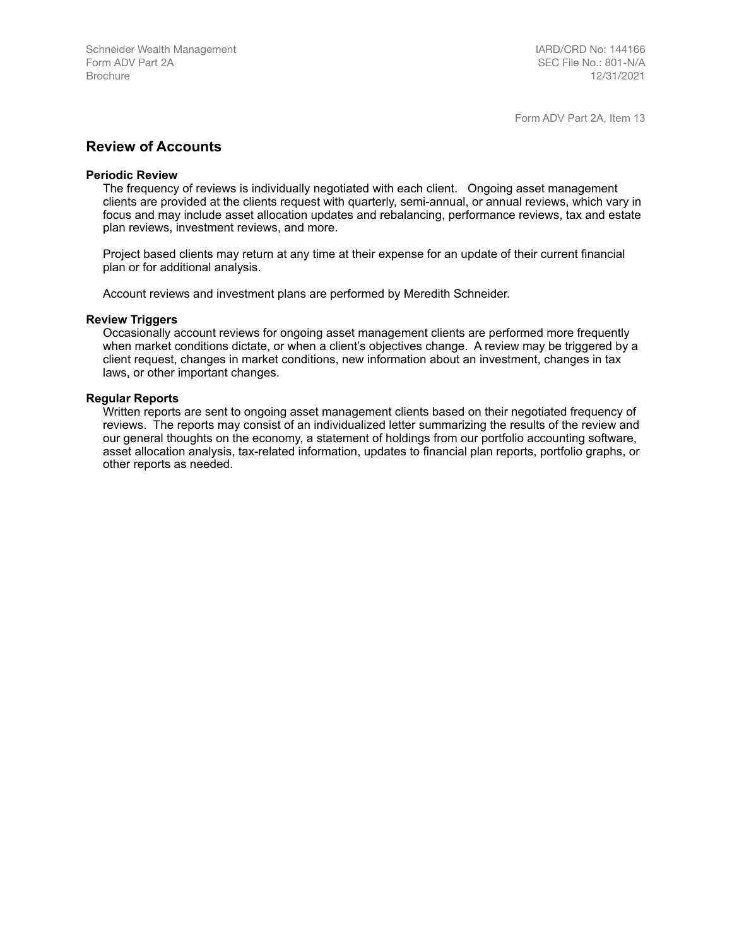### <span id="page-15-0"></span>**Review of Accounts**

#### **Periodic Review**

The frequency of reviews is individually negotiated with each client. Ongoing asset management clients are provided at the clients request with quarterly, semi-annual, or annual reviews, which vary in focus and may include asset allocation updates and rebalancing, performance reviews, tax and estate plan reviews, investment reviews, and more.

Project based clients may return at any time at their expense for an update of their current financial plan or for additional analysis.

Account reviews and investment plans are performed by Meredith Schneider.

#### **Review Triggers**

Occasionally account reviews for ongoing asset management clients are performed more frequently when market conditions dictate, or when a client's objectives change. A review may be triggered by a client request, changes in market conditions, new information about an investment, changes in tax laws, or other important changes.

#### **Regular Reports**

Written reports are sent to ongoing asset management clients based on their negotiated frequency of reviews. The reports may consist of an individualized letter summarizing the results of the review and our general thoughts on the economy, a statement of holdings from our portfolio accounting software, asset allocation analysis, tax-related information, updates to financial plan reports, portfolio graphs, or other reports as needed.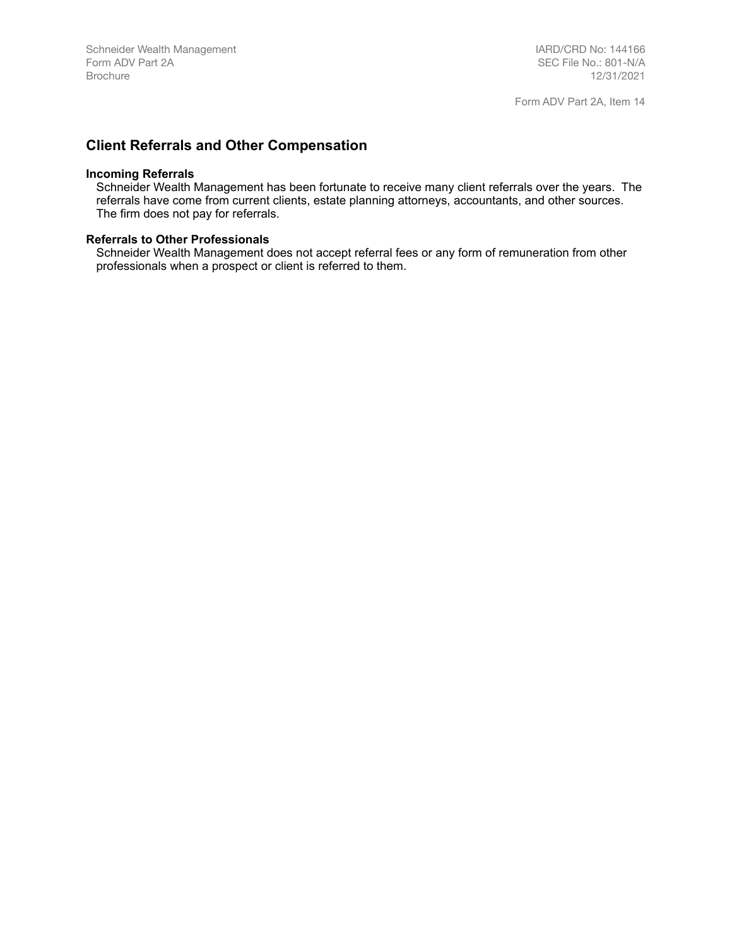## <span id="page-16-0"></span>**Client Referrals and Other Compensation**

#### **Incoming Referrals**

Schneider Wealth Management has been fortunate to receive many client referrals over the years. The referrals have come from current clients, estate planning attorneys, accountants, and other sources. The firm does not pay for referrals.

#### **Referrals to Other Professionals**

Schneider Wealth Management does not accept referral fees or any form of remuneration from other professionals when a prospect or client is referred to them.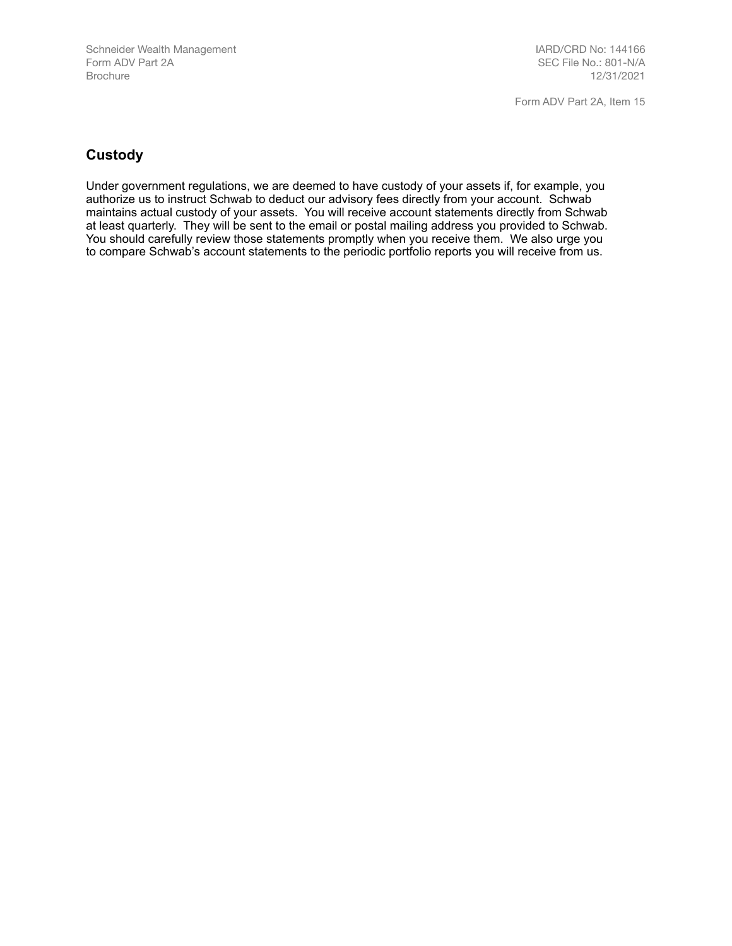## <span id="page-17-0"></span>**Custody**

Under government regulations, we are deemed to have custody of your assets if, for example, you authorize us to instruct Schwab to deduct our advisory fees directly from your account. Schwab maintains actual custody of your assets. You will receive account statements directly from Schwab at least quarterly. They will be sent to the email or postal mailing address you provided to Schwab. You should carefully review those statements promptly when you receive them. We also urge you to compare Schwab's account statements to the periodic portfolio reports you will receive from us.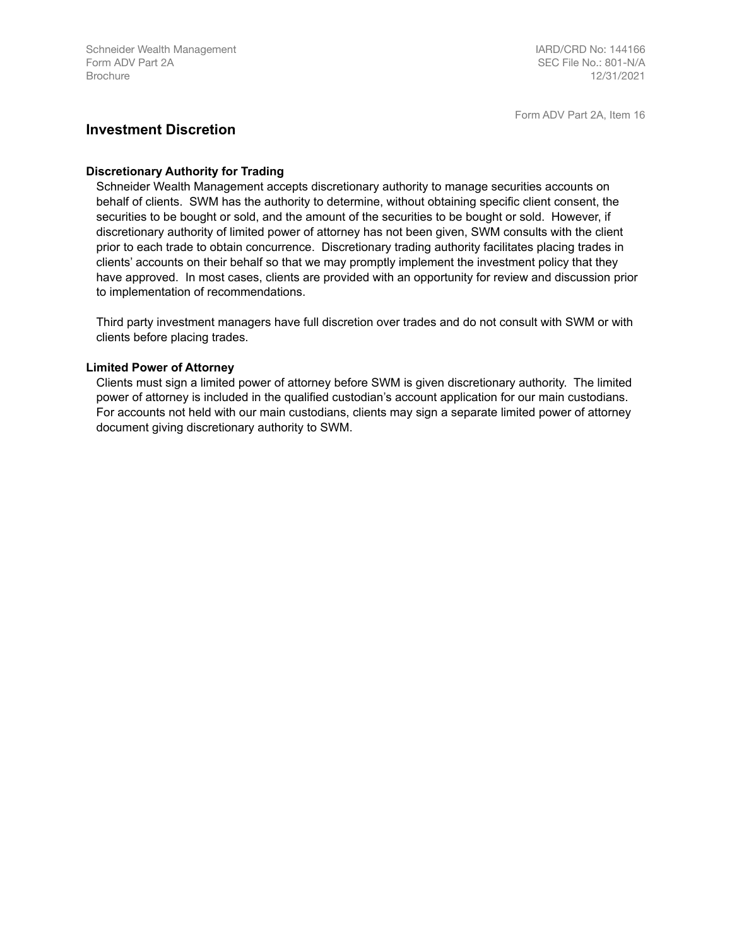### <span id="page-18-0"></span>**Investment Discretion**

#### **Discretionary Authority for Trading**

Schneider Wealth Management accepts discretionary authority to manage securities accounts on behalf of clients. SWM has the authority to determine, without obtaining specific client consent, the securities to be bought or sold, and the amount of the securities to be bought or sold. However, if discretionary authority of limited power of attorney has not been given, SWM consults with the client prior to each trade to obtain concurrence. Discretionary trading authority facilitates placing trades in clients' accounts on their behalf so that we may promptly implement the investment policy that they have approved. In most cases, clients are provided with an opportunity for review and discussion prior to implementation of recommendations.

Third party investment managers have full discretion over trades and do not consult with SWM or with clients before placing trades.

### **Limited Power of Attorney**

Clients must sign a limited power of attorney before SWM is given discretionary authority. The limited power of attorney is included in the qualified custodian's account application for our main custodians. For accounts not held with our main custodians, clients may sign a separate limited power of attorney document giving discretionary authority to SWM.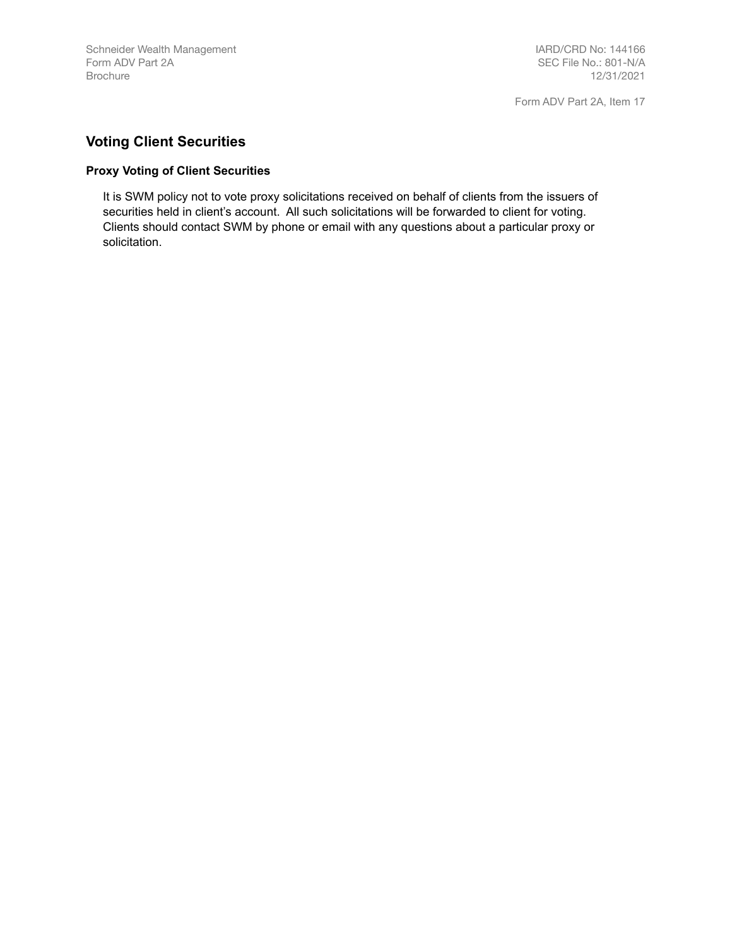# <span id="page-19-0"></span>**Voting Client Securities**

### **Proxy Voting of Client Securities**

It is SWM policy not to vote proxy solicitations received on behalf of clients from the issuers of securities held in client's account. All such solicitations will be forwarded to client for voting. Clients should contact SWM by phone or email with any questions about a particular proxy or solicitation.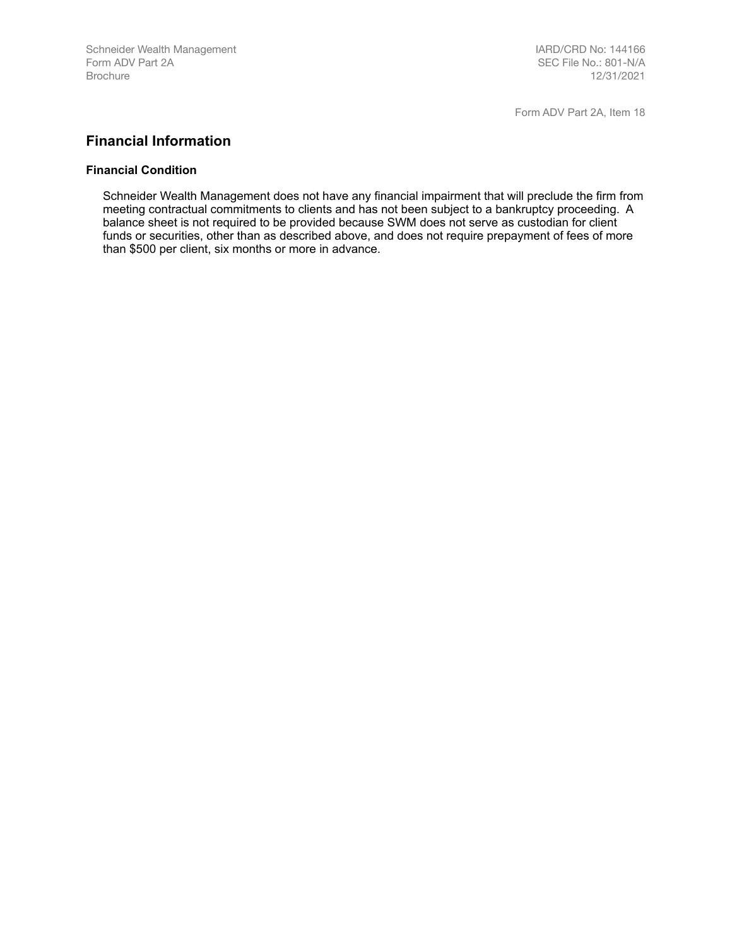## <span id="page-20-0"></span>**Financial Information**

#### **Financial Condition**

Schneider Wealth Management does not have any financial impairment that will preclude the firm from meeting contractual commitments to clients and has not been subject to a bankruptcy proceeding. A balance sheet is not required to be provided because SWM does not serve as custodian for client funds or securities, other than as described above, and does not require prepayment of fees of more than \$500 per client, six months or more in advance.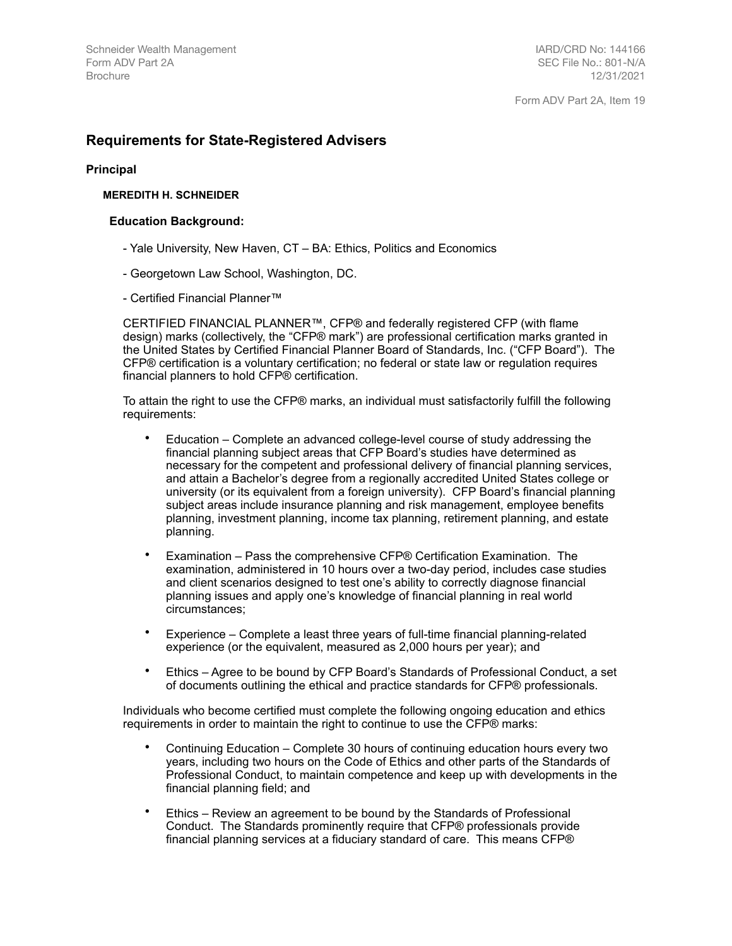## <span id="page-21-0"></span>**Requirements for State-Registered Advisers**

#### **Principal**

#### **MEREDITH H. SCHNEIDER**

#### **Education Background:**

- Yale University, New Haven, CT BA: Ethics, Politics and Economics
- Georgetown Law School, Washington, DC.
- Certified Financial Planner™

CERTIFIED FINANCIAL PLANNER™, CFP® and federally registered CFP (with flame design) marks (collectively, the "CFP® mark") are professional certification marks granted in the United States by Certified Financial Planner Board of Standards, Inc. ("CFP Board"). The CFP® certification is a voluntary certification; no federal or state law or regulation requires financial planners to hold CFP® certification.

To attain the right to use the CFP® marks, an individual must satisfactorily fulfill the following requirements:

- Education Complete an advanced college-level course of study addressing the financial planning subject areas that CFP Board's studies have determined as necessary for the competent and professional delivery of financial planning services, and attain a Bachelor's degree from a regionally accredited United States college or university (or its equivalent from a foreign university). CFP Board's financial planning subject areas include insurance planning and risk management, employee benefits planning, investment planning, income tax planning, retirement planning, and estate planning.
- Examination Pass the comprehensive CFP® Certification Examination. The examination, administered in 10 hours over a two-day period, includes case studies and client scenarios designed to test one's ability to correctly diagnose financial planning issues and apply one's knowledge of financial planning in real world circumstances;
- Experience Complete a least three years of full-time financial planning-related experience (or the equivalent, measured as 2,000 hours per year); and
- Ethics Agree to be bound by CFP Board's Standards of Professional Conduct, a set of documents outlining the ethical and practice standards for CFP® professionals.

Individuals who become certified must complete the following ongoing education and ethics requirements in order to maintain the right to continue to use the CFP® marks:

- Continuing Education Complete 30 hours of continuing education hours every two years, including two hours on the Code of Ethics and other parts of the Standards of Professional Conduct, to maintain competence and keep up with developments in the financial planning field; and
- Ethics Review an agreement to be bound by the Standards of Professional Conduct. The Standards prominently require that CFP® professionals provide financial planning services at a fiduciary standard of care. This means CFP®